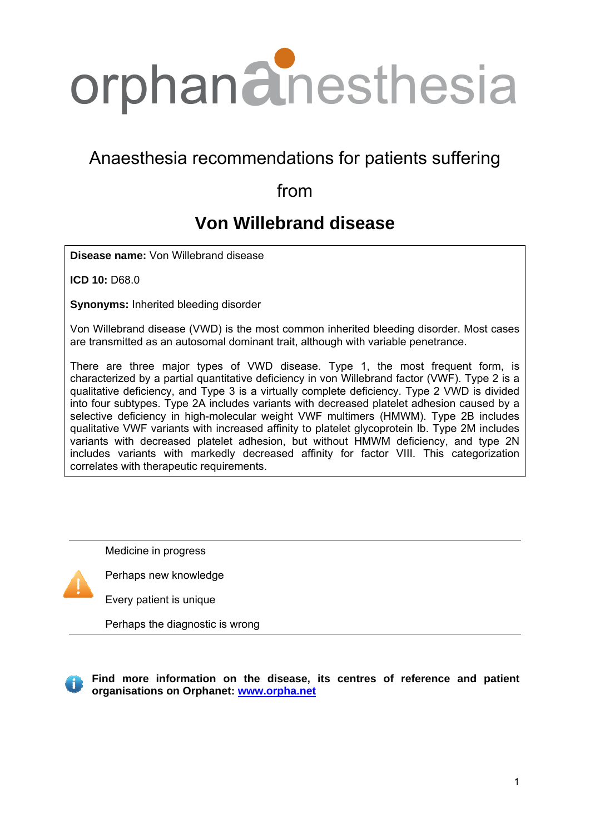

# Anaesthesia recommendations for patients suffering

# from

# **Von Willebrand disease**

**Disease name:** Von Willebrand disease

**ICD 10:** D68.0

**Synonyms:** Inherited bleeding disorder

Von Willebrand disease (VWD) is the most common inherited bleeding disorder. Most cases are transmitted as an autosomal dominant trait, although with variable penetrance.

There are three major types of VWD disease. Type 1, the most frequent form, is characterized by a partial quantitative deficiency in von Willebrand factor (VWF). Type 2 is a qualitative deficiency, and Type 3 is a virtually complete deficiency. Type 2 VWD is divided into four subtypes. Type 2A includes variants with decreased platelet adhesion caused by a selective deficiency in high-molecular weight VWF multimers (HMWM). Type 2B includes qualitative VWF variants with increased affinity to platelet glycoprotein Ib. Type 2M includes variants with decreased platelet adhesion, but without HMWM deficiency, and type 2N includes variants with markedly decreased affinity for factor VIII. This categorization correlates with therapeutic requirements.

Medicine in progress



Perhaps new knowledge

Every patient is unique

Perhaps the diagnostic is wrong

**Find more information on the disease, its centres of reference and patient organisations on Orphanet: [www.orpha.net](http://www.orpha.net/consor/cgi-bin/Disease_Search.php?lng=EN&data_id=65&Disease_Disease_Search_diseaseGroup=central-core&Disease_Disease_Search_diseaseType=Pat&disease%28s%29/group%20of%20diseases=Central-core-disease&title=Central-core-disease&search=Dis)**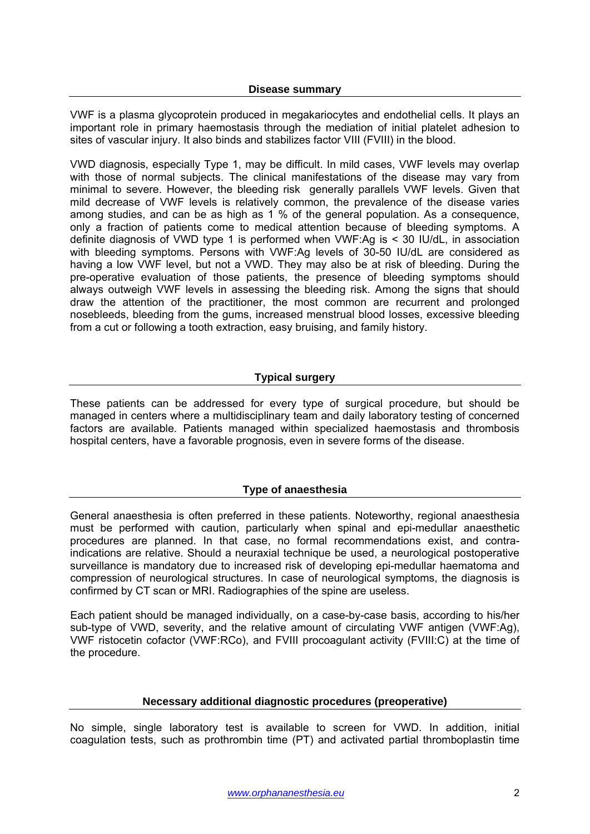VWF is a plasma glycoprotein produced in megakariocytes and endothelial cells. It plays an important role in primary haemostasis through the mediation of initial platelet adhesion to sites of vascular injury. It also binds and stabilizes factor VIII (FVIII) in the blood.

VWD diagnosis, especially Type 1, may be difficult. In mild cases, VWF levels may overlap with those of normal subjects. The clinical manifestations of the disease may vary from minimal to severe. However, the bleeding risk generally parallels VWF levels. Given that mild decrease of VWF levels is relatively common, the prevalence of the disease varies among studies, and can be as high as 1 % of the general population. As a consequence, only a fraction of patients come to medical attention because of bleeding symptoms. A definite diagnosis of VWD type 1 is performed when VWF:Ag is < 30 IU/dL, in association with bleeding symptoms. Persons with VWF:Ag levels of 30-50 IU/dL are considered as having a low VWF level, but not a VWD. They may also be at risk of bleeding. During the pre-operative evaluation of those patients, the presence of bleeding symptoms should always outweigh VWF levels in assessing the bleeding risk. Among the signs that should draw the attention of the practitioner, the most common are recurrent and prolonged nosebleeds, bleeding from the gums, increased menstrual blood losses, excessive bleeding from a cut or following a tooth extraction, easy bruising, and family history.

# **Typical surgery**

These patients can be addressed for every type of surgical procedure, but should be managed in centers where a multidisciplinary team and daily laboratory testing of concerned factors are available. Patients managed within specialized haemostasis and thrombosis hospital centers, have a favorable prognosis, even in severe forms of the disease.

# **Type of anaesthesia**

General anaesthesia is often preferred in these patients. Noteworthy, regional anaesthesia must be performed with caution, particularly when spinal and epi-medullar anaesthetic procedures are planned. In that case, no formal recommendations exist, and contraindications are relative. Should a neuraxial technique be used, a neurological postoperative surveillance is mandatory due to increased risk of developing epi-medullar haematoma and compression of neurological structures. In case of neurological symptoms, the diagnosis is confirmed by CT scan or MRI. Radiographies of the spine are useless.

Each patient should be managed individually, on a case-by-case basis, according to his/her sub-type of VWD, severity, and the relative amount of circulating VWF antigen (VWF:Ag), VWF ristocetin cofactor (VWF:RCo), and FVIII procoagulant activity (FVIII:C) at the time of the procedure.

# **Necessary additional diagnostic procedures (preoperative)**

No simple, single laboratory test is available to screen for VWD. In addition, initial coagulation tests, such as prothrombin time (PT) and activated partial thromboplastin time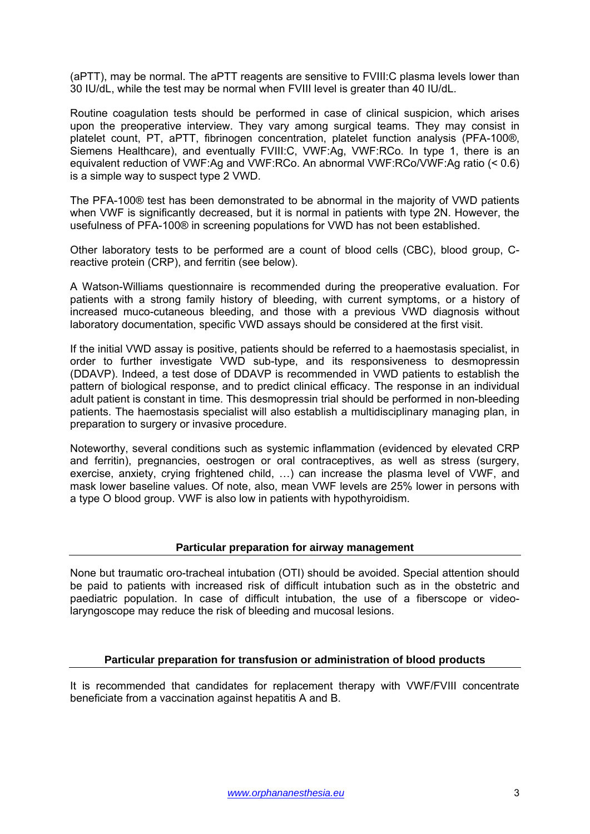(aPTT), may be normal. The aPTT reagents are sensitive to FVIII:C plasma levels lower than 30 IU/dL, while the test may be normal when FVIII level is greater than 40 IU/dL.

Routine coagulation tests should be performed in case of clinical suspicion, which arises upon the preoperative interview. They vary among surgical teams. They may consist in platelet count, PT, aPTT, fibrinogen concentration, platelet function analysis (PFA-100®, Siemens Healthcare), and eventually FVIII:C, VWF:Ag, VWF:RCo. In type 1, there is an equivalent reduction of VWF:Ag and VWF:RCo. An abnormal VWF:RCo/VWF:Ag ratio (< 0.6) is a simple way to suspect type 2 VWD.

The PFA-100® test has been demonstrated to be abnormal in the majority of VWD patients when VWF is significantly decreased, but it is normal in patients with type 2N. However, the usefulness of PFA-100® in screening populations for VWD has not been established.

Other laboratory tests to be performed are a count of blood cells (CBC), blood group, Creactive protein (CRP), and ferritin (see below).

A Watson-Williams questionnaire is recommended during the preoperative evaluation. For patients with a strong family history of bleeding, with current symptoms, or a history of increased muco-cutaneous bleeding, and those with a previous VWD diagnosis without laboratory documentation, specific VWD assays should be considered at the first visit.

If the initial VWD assay is positive, patients should be referred to a haemostasis specialist, in order to further investigate VWD sub-type, and its responsiveness to desmopressin (DDAVP). Indeed, a test dose of DDAVP is recommended in VWD patients to establish the pattern of biological response, and to predict clinical efficacy. The response in an individual adult patient is constant in time. This desmopressin trial should be performed in non-bleeding patients. The haemostasis specialist will also establish a multidisciplinary managing plan, in preparation to surgery or invasive procedure.

Noteworthy, several conditions such as systemic inflammation (evidenced by elevated CRP and ferritin), pregnancies, oestrogen or oral contraceptives, as well as stress (surgery, exercise, anxiety, crying frightened child, …) can increase the plasma level of VWF, and mask lower baseline values. Of note, also, mean VWF levels are 25% lower in persons with a type O blood group. VWF is also low in patients with hypothyroidism.

#### **Particular preparation for airway management**

None but traumatic oro-tracheal intubation (OTI) should be avoided. Special attention should be paid to patients with increased risk of difficult intubation such as in the obstetric and paediatric population. In case of difficult intubation, the use of a fiberscope or videolaryngoscope may reduce the risk of bleeding and mucosal lesions.

# **Particular preparation for transfusion or administration of blood products**

It is recommended that candidates for replacement therapy with VWF/FVIII concentrate beneficiate from a vaccination against hepatitis A and B.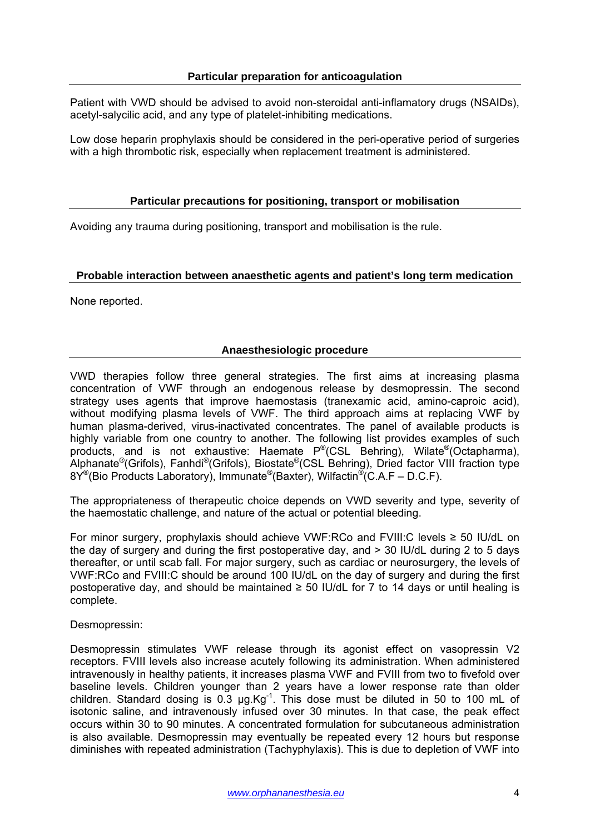Patient with VWD should be advised to avoid non-steroidal anti-inflamatory drugs (NSAIDs), acetyl-salycilic acid, and any type of platelet-inhibiting medications.

Low dose heparin prophylaxis should be considered in the peri-operative period of surgeries with a high thrombotic risk, especially when replacement treatment is administered.

### **Particular precautions for positioning, transport or mobilisation**

Avoiding any trauma during positioning, transport and mobilisation is the rule.

#### **Probable interaction between anaesthetic agents and patient's long term medication**

None reported.

# **Anaesthesiologic procedure**

VWD therapies follow three general strategies. The first aims at increasing plasma concentration of VWF through an endogenous release by desmopressin. The second strategy uses agents that improve haemostasis (tranexamic acid, amino-caproic acid), without modifying plasma levels of VWF. The third approach aims at replacing VWF by human plasma-derived, virus-inactivated concentrates. The panel of available products is highly variable from one country to another. The following list provides examples of such products, and is not exhaustive: Haemate P®(CSL Behring), Wilate®(Octapharma), Alphanate®(Grifols), Fanhdi®(Grifols), Biostate®(CSL Behring), Dried factor VIII fraction type  $8Y^{\circ}$ (Bio Products Laboratory), Immunate  $^{\circ}$ (Baxter), Wilfactin  $^{\circ}$  (C.A.F – D.C.F).

The appropriateness of therapeutic choice depends on VWD severity and type, severity of the haemostatic challenge, and nature of the actual or potential bleeding.

For minor surgery, prophylaxis should achieve VWF:RCo and FVIII:C levels ≥ 50 IU/dL on the day of surgery and during the first postoperative day, and > 30 IU/dL during 2 to 5 days thereafter, or until scab fall. For major surgery, such as cardiac or neurosurgery, the levels of VWF:RCo and FVIII:C should be around 100 IU/dL on the day of surgery and during the first postoperative day, and should be maintained  $\geq$  50 IU/dL for 7 to 14 days or until healing is complete.

#### Desmopressin:

Desmopressin stimulates VWF release through its agonist effect on vasopressin V2 receptors. FVIII levels also increase acutely following its administration. When administered intravenously in healthy patients, it increases plasma VWF and FVIII from two to fivefold over baseline levels. Children younger than 2 years have a lower response rate than older children. Standard dosing is  $0.3 \mu g$ . Kg<sup>-1</sup>. This dose must be diluted in 50 to 100 mL of isotonic saline, and intravenously infused over 30 minutes. In that case, the peak effect occurs within 30 to 90 minutes. A concentrated formulation for subcutaneous administration is also available. Desmopressin may eventually be repeated every 12 hours but response diminishes with repeated administration (Tachyphylaxis). This is due to depletion of VWF into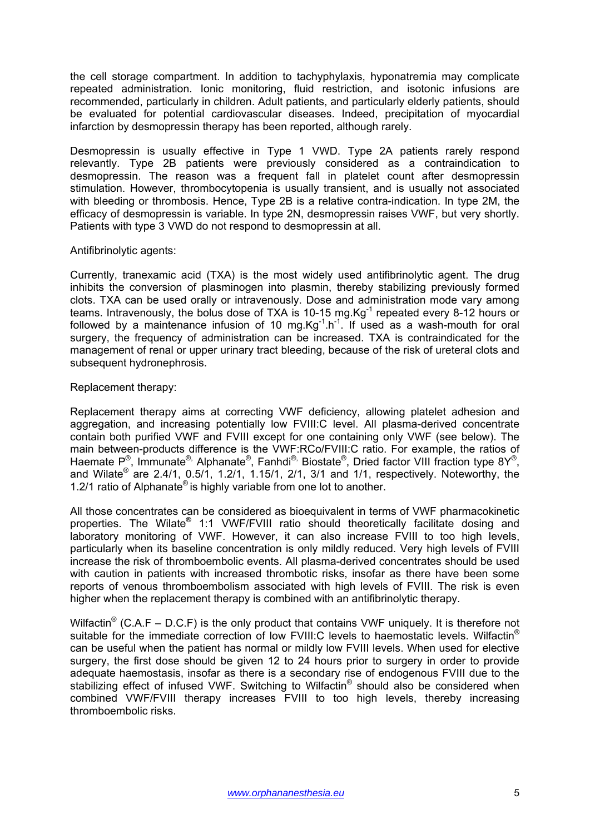the cell storage compartment. In addition to tachyphylaxis, hyponatremia may complicate repeated administration. Ionic monitoring, fluid restriction, and isotonic infusions are recommended, particularly in children. Adult patients, and particularly elderly patients, should be evaluated for potential cardiovascular diseases. Indeed, precipitation of myocardial infarction by desmopressin therapy has been reported, although rarely.

Desmopressin is usually effective in Type 1 VWD. Type 2A patients rarely respond relevantly. Type 2B patients were previously considered as a contraindication to desmopressin. The reason was a frequent fall in platelet count after desmopressin stimulation. However, thrombocytopenia is usually transient, and is usually not associated with bleeding or thrombosis. Hence, Type 2B is a relative contra-indication. In type 2M, the efficacy of desmopressin is variable. In type 2N, desmopressin raises VWF, but very shortly. Patients with type 3 VWD do not respond to desmopressin at all.

#### Antifibrinolytic agents:

Currently, tranexamic acid (TXA) is the most widely used antifibrinolytic agent. The drug inhibits the conversion of plasminogen into plasmin, thereby stabilizing previously formed clots. TXA can be used orally or intravenously. Dose and administration mode vary among teams. Intravenously, the bolus dose of TXA is 10-15 mg.Kg<sup>-1</sup> repeated every 8-12 hours or followed by a maintenance infusion of 10 mg. $Kg^{-1}$ . If used as a wash-mouth for oral surgery, the frequency of administration can be increased. TXA is contraindicated for the management of renal or upper urinary tract bleeding, because of the risk of ureteral clots and subsequent hydronephrosis.

# Replacement therapy:

Replacement therapy aims at correcting VWF deficiency, allowing platelet adhesion and aggregation, and increasing potentially low FVIII:C level. All plasma-derived concentrate contain both purified VWF and FVIII except for one containing only VWF (see below). The main between-products difference is the VWF:RCo/FVIII:C ratio. For example, the ratios of Haemate P®, Immunate®, Alphanate®, Fanhdi®, Biostate®, Dried factor VIII fraction type 8Y®, and Wilate<sup>®</sup> are 2.4/1, 0.5/1, 1.2/1, 1.15/1, 2/1, 3/1 and 1/1, respectively. Noteworthy, the 1.2/1 ratio of Alphanate<sup>®</sup> is highly variable from one lot to another.

All those concentrates can be considered as bioequivalent in terms of VWF pharmacokinetic properties. The Wilate® 1:1 VWF/FVIII ratio should theoretically facilitate dosing and laboratory monitoring of VWF. However, it can also increase FVIII to too high levels, particularly when its baseline concentration is only mildly reduced. Very high levels of FVIII increase the risk of thromboembolic events. All plasma-derived concentrates should be used with caution in patients with increased thrombotic risks, insofar as there have been some reports of venous thromboembolism associated with high levels of FVIII. The risk is even higher when the replacement therapy is combined with an antifibrinolytic therapy.

Wilfactin<sup>®</sup> (C.A.F – D.C.F) is the only product that contains VWF uniquely. It is therefore not suitable for the immediate correction of low FVIII:C levels to haemostatic levels. Wilfactin<sup>®</sup> can be useful when the patient has normal or mildly low FVIII levels. When used for elective surgery, the first dose should be given 12 to 24 hours prior to surgery in order to provide adequate haemostasis, insofar as there is a secondary rise of endogenous FVIII due to the stabilizing effect of infused VWF. Switching to Wilfactin<sup>®</sup> should also be considered when combined VWF/FVIII therapy increases FVIII to too high levels, thereby increasing thromboembolic risks.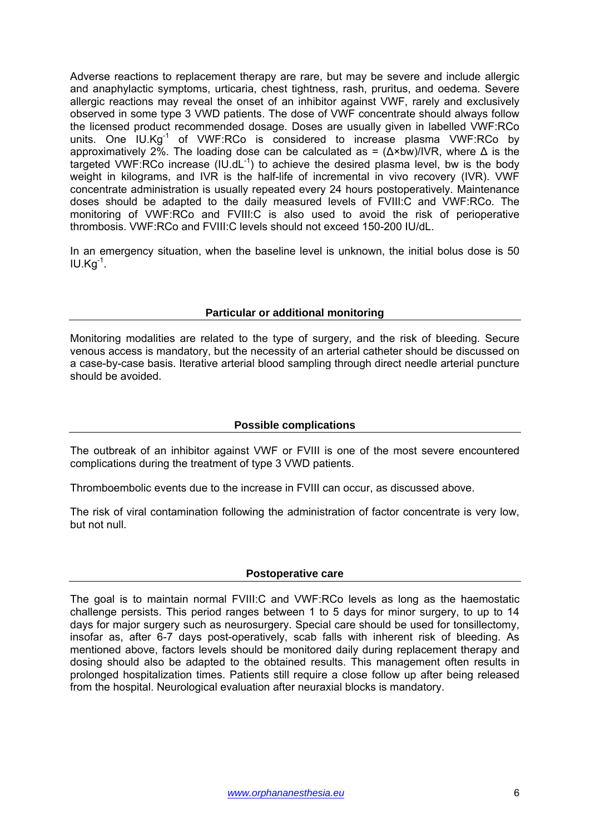Adverse reactions to replacement therapy are rare, but may be severe and include allergic and anaphylactic symptoms, urticaria, chest tightness, rash, pruritus, and oedema. Severe allergic reactions may reveal the onset of an inhibitor against VWF, rarely and exclusively observed in some type 3 VWD patients. The dose of VWF concentrate should always follow the licensed product recommended dosage. Doses are usually given in labelled VWF:RCo units. One IU.Kg<sup>-1</sup> of VWF:RCo is considered to increase plasma VWF:RCo by approximatively 2%. The loading dose can be calculated as =  $(\Delta \times bw)/IVR$ , where  $\Delta$  is the targeted VWF:RCo increase  $(IU.dL^{-1})$  to achieve the desired plasma level, bw is the body weight in kilograms, and IVR is the half-life of incremental in vivo recovery (IVR). VWF concentrate administration is usually repeated every 24 hours postoperatively. Maintenance doses should be adapted to the daily measured levels of FVIII:C and VWF:RCo. The monitoring of VWF:RCo and FVIII:C is also used to avoid the risk of perioperative thrombosis. VWF:RCo and FVIII:C levels should not exceed 150-200 IU/dL.

In an emergency situation, when the baseline level is unknown, the initial bolus dose is 50  $IU.Kq^{-1}$ .

#### **Particular or additional monitoring**

Monitoring modalities are related to the type of surgery, and the risk of bleeding. Secure venous access is mandatory, but the necessity of an arterial catheter should be discussed on a case-by-case basis. Iterative arterial blood sampling through direct needle arterial puncture should be avoided.

# **Possible complications**

The outbreak of an inhibitor against VWF or FVIII is one of the most severe encountered complications during the treatment of type 3 VWD patients.

Thromboembolic events due to the increase in FVIII can occur, as discussed above.

The risk of viral contamination following the administration of factor concentrate is very low, but not null.

#### **Postoperative care**

The goal is to maintain normal FVIII:C and VWF:RCo levels as long as the haemostatic challenge persists. This period ranges between 1 to 5 days for minor surgery, to up to 14 days for major surgery such as neurosurgery. Special care should be used for tonsillectomy, insofar as, after 6-7 days post-operatively, scab falls with inherent risk of bleeding. As mentioned above, factors levels should be monitored daily during replacement therapy and dosing should also be adapted to the obtained results. This management often results in prolonged hospitalization times. Patients still require a close follow up after being released from the hospital. Neurological evaluation after neuraxial blocks is mandatory.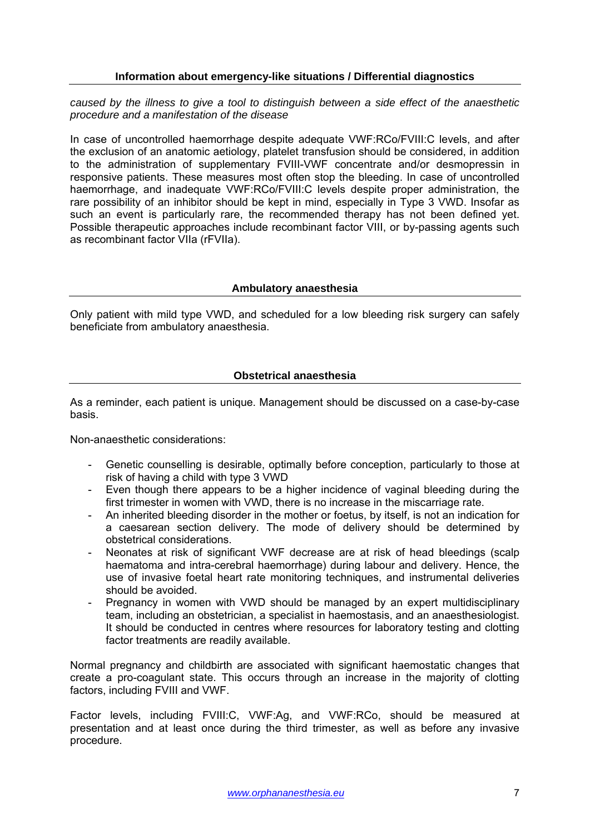### **Information about emergency-like situations / Differential diagnostics**

*caused by the illness to give a tool to distinguish between a side effect of the anaesthetic procedure and a manifestation of the disease* 

In case of uncontrolled haemorrhage despite adequate VWF:RCo/FVIII:C levels, and after the exclusion of an anatomic aetiology, platelet transfusion should be considered, in addition to the administration of supplementary FVIII-VWF concentrate and/or desmopressin in responsive patients. These measures most often stop the bleeding. In case of uncontrolled haemorrhage, and inadequate VWF:RCo/FVIII:C levels despite proper administration, the rare possibility of an inhibitor should be kept in mind, especially in Type 3 VWD. Insofar as such an event is particularly rare, the recommended therapy has not been defined yet. Possible therapeutic approaches include recombinant factor VIII, or by-passing agents such as recombinant factor VIIa (rFVIIa).

#### **Ambulatory anaesthesia**

Only patient with mild type VWD, and scheduled for a low bleeding risk surgery can safely beneficiate from ambulatory anaesthesia.

# **Obstetrical anaesthesia**

As a reminder, each patient is unique. Management should be discussed on a case-by-case basis.

Non-anaesthetic considerations:

- Genetic counselling is desirable, optimally before conception, particularly to those at risk of having a child with type 3 VWD
- Even though there appears to be a higher incidence of vaginal bleeding during the first trimester in women with VWD, there is no increase in the miscarriage rate.
- An inherited bleeding disorder in the mother or foetus, by itself, is not an indication for a caesarean section delivery. The mode of delivery should be determined by obstetrical considerations.
- Neonates at risk of significant VWF decrease are at risk of head bleedings (scalp haematoma and intra-cerebral haemorrhage) during labour and delivery. Hence, the use of invasive foetal heart rate monitoring techniques, and instrumental deliveries should be avoided.
- Pregnancy in women with VWD should be managed by an expert multidisciplinary team, including an obstetrician, a specialist in haemostasis, and an anaesthesiologist. It should be conducted in centres where resources for laboratory testing and clotting factor treatments are readily available.

Normal pregnancy and childbirth are associated with significant haemostatic changes that create a pro-coagulant state. This occurs through an increase in the majority of clotting factors, including FVIII and VWF.

Factor levels, including FVIII:C, VWF:Ag, and VWF:RCo, should be measured at presentation and at least once during the third trimester, as well as before any invasive procedure.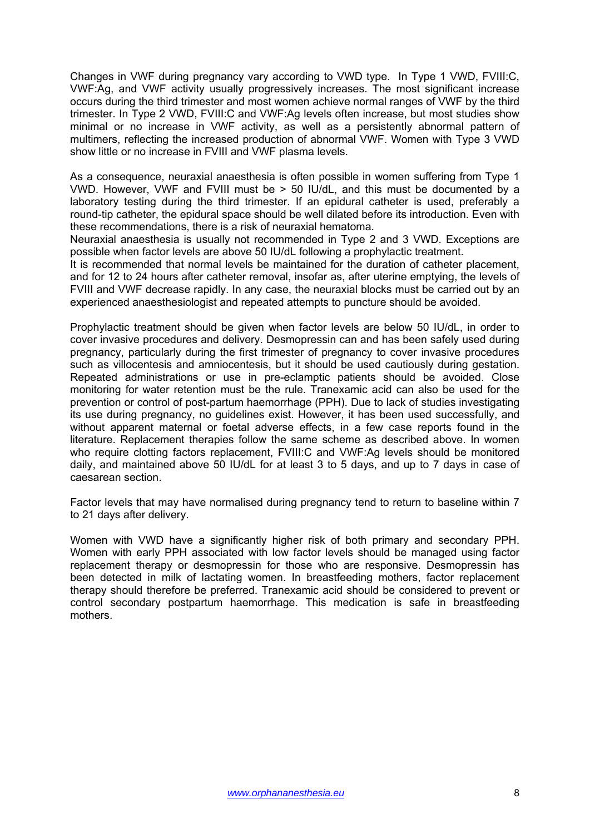Changes in VWF during pregnancy vary according to VWD type. In Type 1 VWD, FVIII:C, VWF:Ag, and VWF activity usually progressively increases. The most significant increase occurs during the third trimester and most women achieve normal ranges of VWF by the third trimester. In Type 2 VWD, FVIII:C and VWF:Ag levels often increase, but most studies show minimal or no increase in VWF activity, as well as a persistently abnormal pattern of multimers, reflecting the increased production of abnormal VWF. Women with Type 3 VWD show little or no increase in FVIII and VWF plasma levels.

As a consequence, neuraxial anaesthesia is often possible in women suffering from Type 1 VWD. However, VWF and FVIII must be > 50 IU/dL, and this must be documented by a laboratory testing during the third trimester. If an epidural catheter is used, preferably a round-tip catheter, the epidural space should be well dilated before its introduction. Even with these recommendations, there is a risk of neuraxial hematoma.

Neuraxial anaesthesia is usually not recommended in Type 2 and 3 VWD. Exceptions are possible when factor levels are above 50 IU/dL following a prophylactic treatment.

It is recommended that normal levels be maintained for the duration of catheter placement, and for 12 to 24 hours after catheter removal, insofar as, after uterine emptying, the levels of FVIII and VWF decrease rapidly. In any case, the neuraxial blocks must be carried out by an experienced anaesthesiologist and repeated attempts to puncture should be avoided.

Prophylactic treatment should be given when factor levels are below 50 IU/dL, in order to cover invasive procedures and delivery. Desmopressin can and has been safely used during pregnancy, particularly during the first trimester of pregnancy to cover invasive procedures such as villocentesis and amniocentesis, but it should be used cautiously during gestation. Repeated administrations or use in pre-eclamptic patients should be avoided. Close monitoring for water retention must be the rule. Tranexamic acid can also be used for the prevention or control of post-partum haemorrhage (PPH). Due to lack of studies investigating its use during pregnancy, no guidelines exist. However, it has been used successfully, and without apparent maternal or foetal adverse effects, in a few case reports found in the literature. Replacement therapies follow the same scheme as described above. In women who require clotting factors replacement, FVIII:C and VWF:Ag levels should be monitored daily, and maintained above 50 IU/dL for at least 3 to 5 days, and up to 7 days in case of caesarean section.

Factor levels that may have normalised during pregnancy tend to return to baseline within 7 to 21 days after delivery.

Women with VWD have a significantly higher risk of both primary and secondary PPH. Women with early PPH associated with low factor levels should be managed using factor replacement therapy or desmopressin for those who are responsive. Desmopressin has been detected in milk of lactating women. In breastfeeding mothers, factor replacement therapy should therefore be preferred. Tranexamic acid should be considered to prevent or control secondary postpartum haemorrhage. This medication is safe in breastfeeding mothers.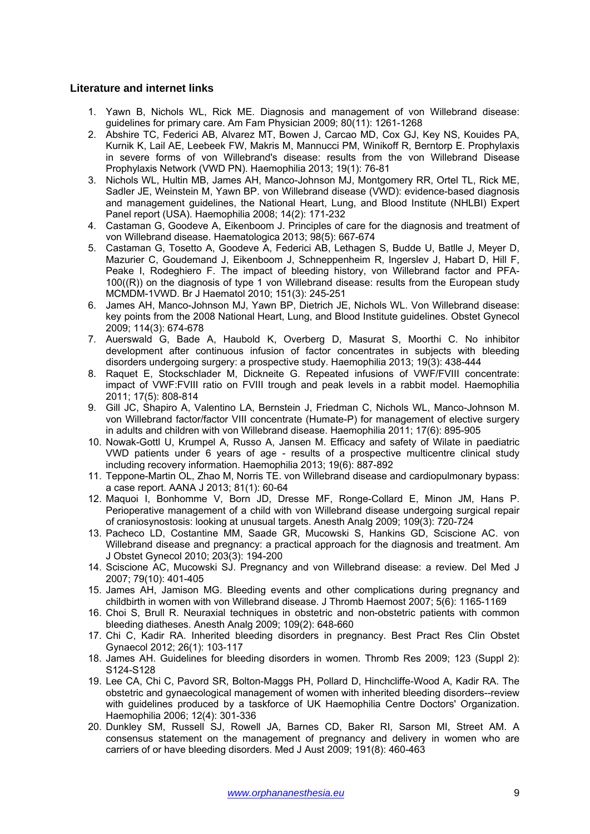#### **Literature and internet links**

- 1. Yawn B, Nichols WL, Rick ME. Diagnosis and management of von Willebrand disease: guidelines for primary care. Am Fam Physician 2009; 80(11): 1261-1268
- 2. Abshire TC, Federici AB, Alvarez MT, Bowen J, Carcao MD, Cox GJ, Key NS, Kouides PA, Kurnik K, Lail AE, Leebeek FW, Makris M, Mannucci PM, Winikoff R, Berntorp E. Prophylaxis in severe forms of von Willebrand's disease: results from the von Willebrand Disease Prophylaxis Network (VWD PN). Haemophilia 2013; 19(1): 76-81
- 3. Nichols WL, Hultin MB, James AH, Manco-Johnson MJ, Montgomery RR, Ortel TL, Rick ME, Sadler JE, Weinstein M, Yawn BP. von Willebrand disease (VWD): evidence-based diagnosis and management guidelines, the National Heart, Lung, and Blood Institute (NHLBI) Expert Panel report (USA). Haemophilia 2008; 14(2): 171-232
- 4. Castaman G, Goodeve A, Eikenboom J. Principles of care for the diagnosis and treatment of von Willebrand disease. Haematologica 2013; 98(5): 667-674
- 5. Castaman G, Tosetto A, Goodeve A, Federici AB, Lethagen S, Budde U, Batlle J, Meyer D, Mazurier C, Goudemand J, Eikenboom J, Schneppenheim R, Ingerslev J, Habart D, Hill F, Peake I, Rodeghiero F. The impact of bleeding history, von Willebrand factor and PFA-100((R)) on the diagnosis of type 1 von Willebrand disease: results from the European study MCMDM-1VWD. Br J Haematol 2010; 151(3): 245-251
- 6. James AH, Manco-Johnson MJ, Yawn BP, Dietrich JE, Nichols WL. Von Willebrand disease: key points from the 2008 National Heart, Lung, and Blood Institute guidelines. Obstet Gynecol 2009; 114(3): 674-678
- 7. Auerswald G, Bade A, Haubold K, Overberg D, Masurat S, Moorthi C. No inhibitor development after continuous infusion of factor concentrates in subjects with bleeding disorders undergoing surgery: a prospective study. Haemophilia 2013; 19(3): 438-444
- 8. Raquet E, Stockschlader M, Dickneite G. Repeated infusions of VWF/FVIII concentrate: impact of VWF:FVIII ratio on FVIII trough and peak levels in a rabbit model. Haemophilia 2011; 17(5): 808-814
- 9. Gill JC, Shapiro A, Valentino LA, Bernstein J, Friedman C, Nichols WL, Manco-Johnson M. von Willebrand factor/factor VIII concentrate (Humate-P) for management of elective surgery in adults and children with von Willebrand disease. Haemophilia 2011; 17(6): 895-905
- 10. Nowak-Gottl U, Krumpel A, Russo A, Jansen M. Efficacy and safety of Wilate in paediatric VWD patients under 6 years of age - results of a prospective multicentre clinical study including recovery information. Haemophilia 2013; 19(6): 887-892
- 11. Teppone-Martin OL, Zhao M, Norris TE. von Willebrand disease and cardiopulmonary bypass: a case report. AANA J 2013; 81(1): 60-64
- 12. Maquoi I, Bonhomme V, Born JD, Dresse MF, Ronge-Collard E, Minon JM, Hans P. Perioperative management of a child with von Willebrand disease undergoing surgical repair of craniosynostosis: looking at unusual targets. Anesth Analg 2009; 109(3): 720-724
- 13. Pacheco LD, Costantine MM, Saade GR, Mucowski S, Hankins GD, Sciscione AC. von Willebrand disease and pregnancy: a practical approach for the diagnosis and treatment. Am J Obstet Gynecol 2010; 203(3): 194-200
- 14. Sciscione AC, Mucowski SJ. Pregnancy and von Willebrand disease: a review. Del Med J 2007; 79(10): 401-405
- 15. James AH, Jamison MG. Bleeding events and other complications during pregnancy and childbirth in women with von Willebrand disease. J Thromb Haemost 2007; 5(6): 1165-1169
- 16. Choi S, Brull R. Neuraxial techniques in obstetric and non-obstetric patients with common bleeding diatheses. Anesth Analg 2009; 109(2): 648-660
- 17. Chi C, Kadir RA. Inherited bleeding disorders in pregnancy. Best Pract Res Clin Obstet Gynaecol 2012; 26(1): 103-117
- 18. James AH. Guidelines for bleeding disorders in women. Thromb Res 2009; 123 (Suppl 2): S124-S128
- 19. Lee CA, Chi C, Pavord SR, Bolton-Maggs PH, Pollard D, Hinchcliffe-Wood A, Kadir RA. The obstetric and gynaecological management of women with inherited bleeding disorders--review with guidelines produced by a taskforce of UK Haemophilia Centre Doctors' Organization. Haemophilia 2006; 12(4): 301-336
- 20. Dunkley SM, Russell SJ, Rowell JA, Barnes CD, Baker RI, Sarson MI, Street AM. A consensus statement on the management of pregnancy and delivery in women who are carriers of or have bleeding disorders. Med J Aust 2009; 191(8): 460-463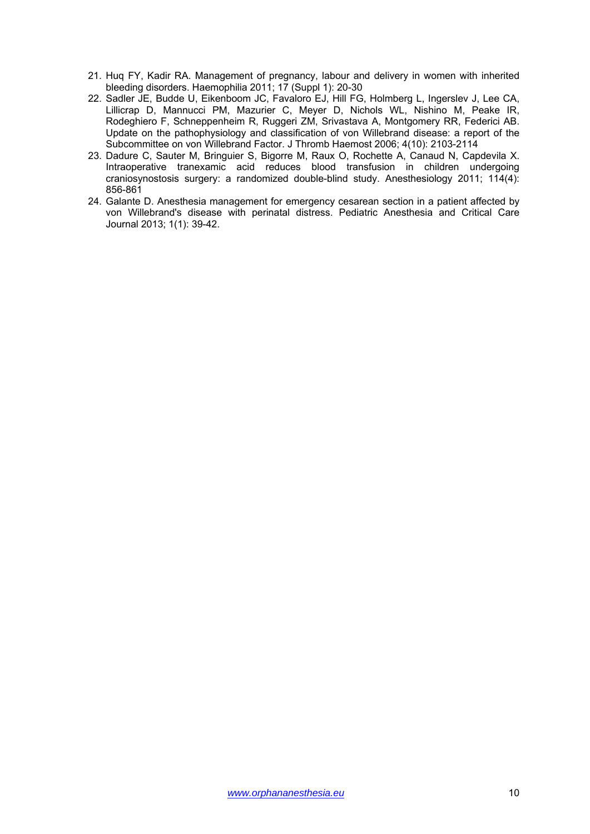- 21. Huq FY, Kadir RA. Management of pregnancy, labour and delivery in women with inherited bleeding disorders. Haemophilia 2011; 17 (Suppl 1): 20-30
- 22. Sadler JE, Budde U, Eikenboom JC, Favaloro EJ, Hill FG, Holmberg L, Ingerslev J, Lee CA, Lillicrap D, Mannucci PM, Mazurier C, Meyer D, Nichols WL, Nishino M, Peake IR, Rodeghiero F, Schneppenheim R, Ruggeri ZM, Srivastava A, Montgomery RR, Federici AB. Update on the pathophysiology and classification of von Willebrand disease: a report of the Subcommittee on von Willebrand Factor. J Thromb Haemost 2006; 4(10): 2103-2114
- 23. Dadure C, Sauter M, Bringuier S, Bigorre M, Raux O, Rochette A, Canaud N, Capdevila X. Intraoperative tranexamic acid reduces blood transfusion in children undergoing craniosynostosis surgery: a randomized double-blind study. Anesthesiology 2011; 114(4): 856-861
- 24. Galante D. Anesthesia management for emergency cesarean section in a patient affected by von Willebrand's disease with perinatal distress. Pediatric Anesthesia and Critical Care Journal 2013; 1(1): 39-42.